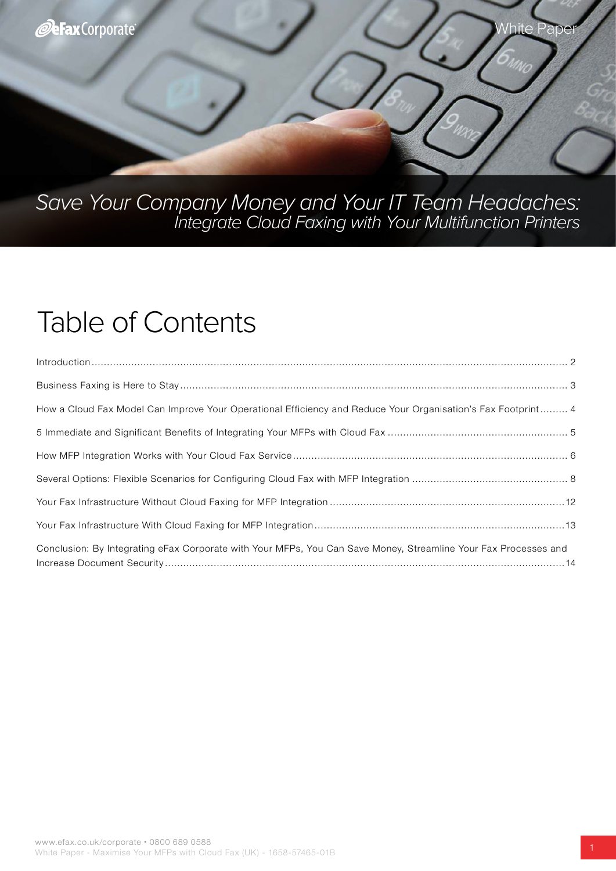

# Save Your Company Money and Your IT Team Headaches: Integrate Cloud Faxing with Your Multifunction Printers

# Table of Contents

| $\begin{minipage}[c]{0.9\linewidth} \begin{minipage}[c]{0.9\linewidth} \begin{minipage}[c]{0.9\linewidth} \begin{minipage}[c]{0.9\linewidth} \end{minipage}[c]{0.9\linewidth} \end{minipage}[c]{0.9\linewidth} \begin{minipage}[c]{0.9\linewidth} \begin{minipage}[c]{0.9\linewidth} \end{minipage}[c]{0.9\linewidth} \end{minipage}[c]{0.9\linewidth} \end{minipage}[c]{0.9\linewidth} \begin{minipage}[c]{0.9\linewidth} \begin{minipage}[c]{0.9\linewidth} \end{minipage}[c]{0.9\linewidth} \end{minipage}[c]{0$ |
|---------------------------------------------------------------------------------------------------------------------------------------------------------------------------------------------------------------------------------------------------------------------------------------------------------------------------------------------------------------------------------------------------------------------------------------------------------------------------------------------------------------------|
|                                                                                                                                                                                                                                                                                                                                                                                                                                                                                                                     |
| How a Cloud Fax Model Can Improve Your Operational Efficiency and Reduce Your Organisation's Fax Footprint 4                                                                                                                                                                                                                                                                                                                                                                                                        |
|                                                                                                                                                                                                                                                                                                                                                                                                                                                                                                                     |
|                                                                                                                                                                                                                                                                                                                                                                                                                                                                                                                     |
|                                                                                                                                                                                                                                                                                                                                                                                                                                                                                                                     |
|                                                                                                                                                                                                                                                                                                                                                                                                                                                                                                                     |
|                                                                                                                                                                                                                                                                                                                                                                                                                                                                                                                     |
| Conclusion: By Integrating eFax Corporate with Your MFPs, You Can Save Money, Streamline Your Fax Processes and                                                                                                                                                                                                                                                                                                                                                                                                     |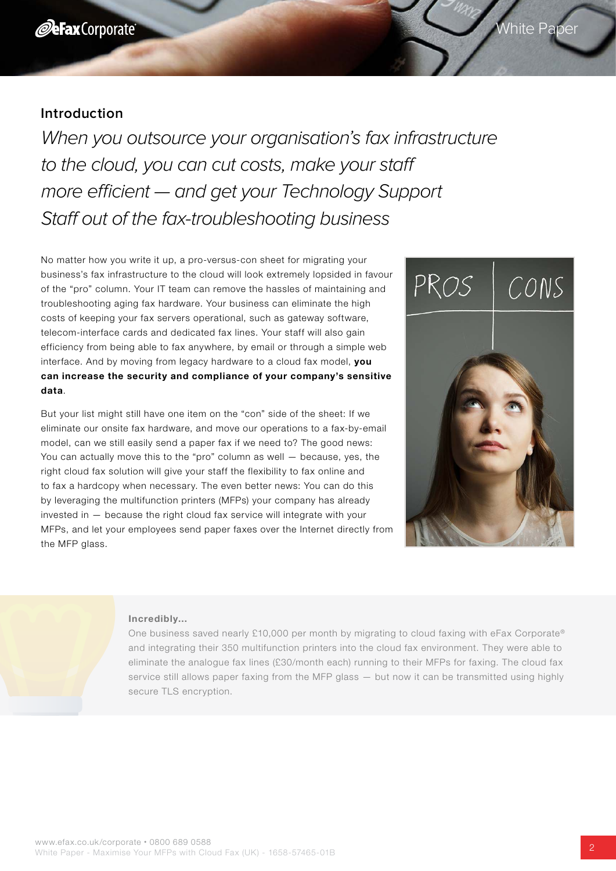<span id="page-1-0"></span>When you outsource your organisation's fax infrastructure to the cloud, you can cut costs, make your staff more efficient — and get your Technology Support Staff out of the fax-troubleshooting business

No matter how you write it up, a pro-versus-con sheet for migrating your business's fax infrastructure to the cloud will look extremely lopsided in favour of the "pro" column. Your IT team can remove the hassles of maintaining and troubleshooting aging fax hardware. Your business can eliminate the high costs of keeping your fax servers operational, such as gateway software, telecom-interface cards and dedicated fax lines. Your staff will also gain efficiency from being able to fax anywhere, by email or through a simple web interface. And by moving from legacy hardware to a cloud fax model, you can increase the security and compliance of your company's sensitive data.

But your list might still have one item on the "con" side of the sheet: If we eliminate our onsite fax hardware, and move our operations to a fax-by-email model, can we still easily send a paper fax if we need to? The good news: You can actually move this to the "pro" column as well — because, yes, the right cloud fax solution will give your staff the flexibility to fax online and to fax a hardcopy when necessary. The even better news: You can do this by leveraging the multifunction printers (MFPs) your company has already invested in — because the right cloud fax service will integrate with your MFPs, and let your employees send paper faxes over the Internet directly from the MFP glass.



White Paper

#### Incredibly…

One business saved nearly £10,000 per month by migrating to cloud faxing with eFax Corporate® and integrating their 350 multifunction printers into the cloud fax environment. They were able to eliminate the analogue fax lines (£30/month each) running to their MFPs for faxing. The cloud fax service still allows paper faxing from the MFP glass — but now it can be transmitted using highly secure TLS encryption.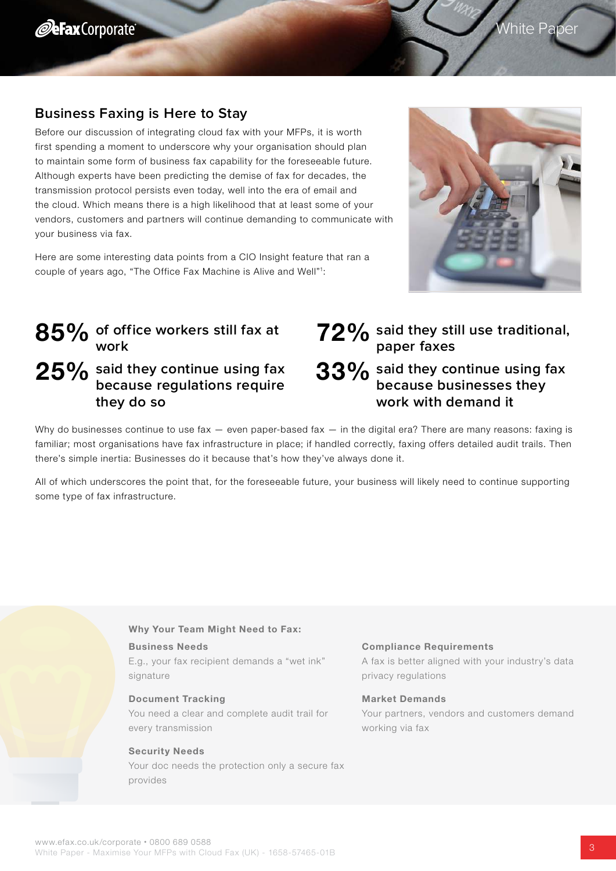# <span id="page-2-0"></span>**Business Faxing is Here to Stay**

Before our discussion of integrating cloud fax with your MFPs, it is worth first spending a moment to underscore why your organisation should plan to maintain some form of business fax capability for the foreseeable future. Although experts have been predicting the demise of fax for decades, the transmission protocol persists even today, well into the era of email and the cloud. Which means there is a high likelihood that at least some of your vendors, customers and partners will continue demanding to communicate with your business via fax.

Here are some interesting data points from a CIO Insight feature that ran a couple of years ago, "The Office Fax Machine is Alive and Well"<sup>1</sup> :



# **of office workers still fax at work** 85% 25% said they continue using fax **because regulations require they do so**

# **said they still use traditional, 72%** said they st<br>paper faxes **33%** said they continue using fax **because businesses they work with demand it**

Why do businesses continue to use fax  $-$  even paper-based fax  $-$  in the digital era? There are many reasons: faxing is familiar; most organisations have fax infrastructure in place; if handled correctly, faxing offers detailed audit trails. Then there's simple inertia: Businesses do it because that's how they've always done it.

All of which underscores the point that, for the foreseeable future, your business will likely need to continue supporting some type of fax infrastructure.

### Why Your Team Might Need to Fax:

### Business Needs

E.g., your fax recipient demands a "wet ink" signature

### Document Tracking

You need a clear and complete audit trail for every transmission

### Security Needs

Your doc needs the protection only a secure fax provides

#### Compliance Requirements

A fax is better aligned with your industry's data privacy regulations

#### Market Demands

Your partners, vendors and customers demand working via fax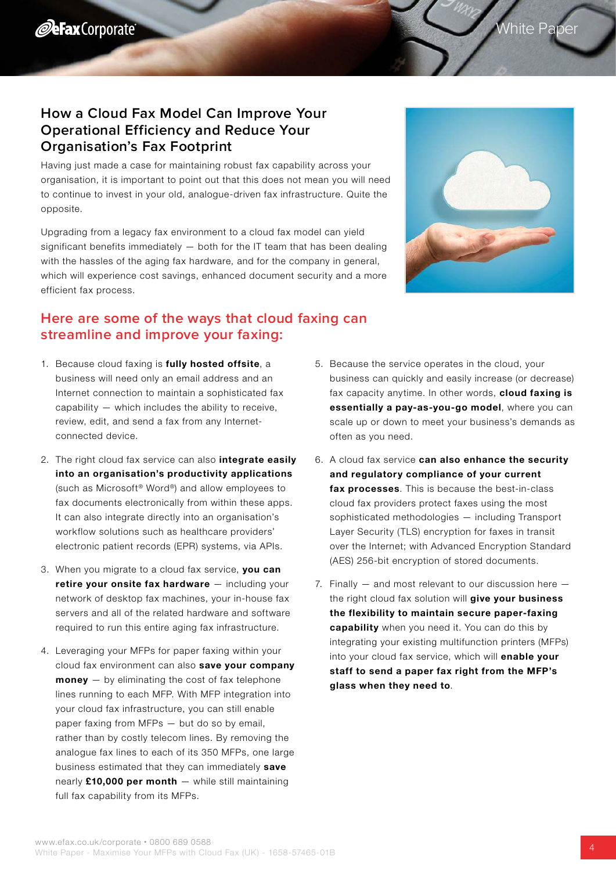# <span id="page-3-0"></span>**How a Cloud Fax Model Can Improve Your Operational Efficiency and Reduce Your Organisation's Fax Footprint**

Having just made a case for maintaining robust fax capability across your organisation, it is important to point out that this does not mean you will need to continue to invest in your old, analogue-driven fax infrastructure. Quite the opposite.

Upgrading from a legacy fax environment to a cloud fax model can yield significant benefits immediately  $-$  both for the IT team that has been dealing with the hassles of the aging fax hardware, and for the company in general, which will experience cost savings, enhanced document security and a more efficient fax process.

# **Here are some of the ways that cloud faxing can streamline and improve your faxing:**

- 1. Because cloud faxing is fully hosted offsite, a business will need only an email address and an Internet connection to maintain a sophisticated fax capability — which includes the ability to receive, review, edit, and send a fax from any Internetconnected device.
- 2. The right cloud fax service can also integrate easily into an organisation's productivity applications (such as Microsoft® Word®) and allow employees to fax documents electronically from within these apps. It can also integrate directly into an organisation's workflow solutions such as healthcare providers' electronic patient records (EPR) systems, via APIs.
- 3. When you migrate to a cloud fax service, you can retire vour onsite fax hardware – including your network of desktop fax machines, your in-house fax servers and all of the related hardware and software required to run this entire aging fax infrastructure.
- 4. Leveraging your MFPs for paper faxing within your cloud fax environment can also save your company  $$ lines running to each MFP. With MFP integration into your cloud fax infrastructure, you can still enable paper faxing from MFPs — but do so by email, rather than by costly telecom lines. By removing the analogue fax lines to each of its 350 MFPs, one large business estimated that they can immediately save nearly  $£10,000$  per month  $-$  while still maintaining full fax capability from its MFPs.
- 5. Because the service operates in the cloud, your business can quickly and easily increase (or decrease) fax capacity anytime. In other words, **cloud faxing is** essentially a pay-as-you-go model, where you can scale up or down to meet your business's demands as often as you need.
- 6. A cloud fax service can also enhance the security and regulatory compliance of your current fax processes. This is because the best-in-class cloud fax providers protect faxes using the most sophisticated methodologies — including Transport Layer Security (TLS) encryption for faxes in transit over the Internet; with Advanced Encryption Standard (AES) 256-bit encryption of stored documents.
- 7. Finally and most relevant to our discussion here the right cloud fax solution will **give your business** the flexibility to maintain secure paper-faxing capability when you need it. You can do this by integrating your existing multifunction printers (MFPs) into your cloud fax service, which will enable your staff to send a paper fax right from the MFP's glass when they need to.



# White Paper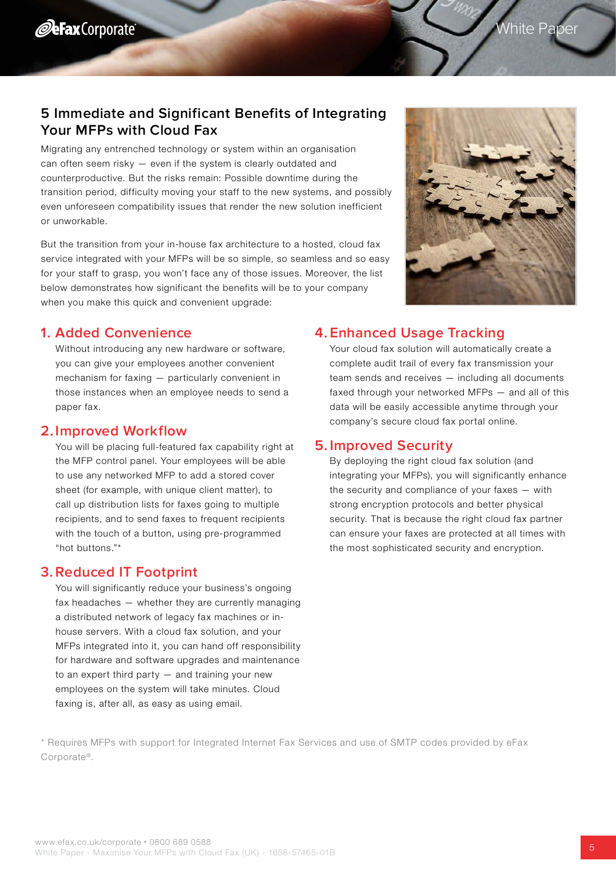# <span id="page-4-0"></span>**5 Immediate and Significant Benefits of Integrating Your MFPs with Cloud Fax**

Migrating any entrenched technology or system within an organisation can often seem risky — even if the system is clearly outdated and counterproductive. But the risks remain: Possible downtime during the transition period, difficulty moving your staff to the new systems, and possibly even unforeseen compatibility issues that render the new solution inefficient or unworkable.

But the transition from your in-house fax architecture to a hosted, cloud fax service integrated with your MFPs will be so simple, so seamless and so easy for your staff to grasp, you won't face any of those issues. Moreover, the list below demonstrates how significant the benefits will be to your company when you make this quick and convenient upgrade:



### **1. Added Convenience**

Without introducing any new hardware or software, you can give your employees another convenient mechanism for faxing — particularly convenient in those instances when an employee needs to send a paper fax.

### **2. Improved Workflow**

You will be placing full-featured fax capability right at the MFP control panel. Your employees will be able to use any networked MFP to add a stored cover sheet (for example, with unique client matter), to call up distribution lists for faxes going to multiple recipients, and to send faxes to frequent recipients with the touch of a button, using pre-programmed "hot buttons."\*

### **3. Reduced IT Footprint**

You will significantly reduce your business's ongoing fax headaches — whether they are currently managing a distributed network of legacy fax machines or inhouse servers. With a cloud fax solution, and your MFPs integrated into it, you can hand off responsibility for hardware and software upgrades and maintenance to an expert third party  $-$  and training your new employees on the system will take minutes. Cloud faxing is, after all, as easy as using email.

### **4. Enhanced Usage Tracking**

Your cloud fax solution will automatically create a complete audit trail of every fax transmission your team sends and receives — including all documents faxed through your networked MFPs — and all of this data will be easily accessible anytime through your company's secure cloud fax portal online.

### **5. Improved Security**

By deploying the right cloud fax solution (and integrating your MFPs), you will significantly enhance the security and compliance of your faxes — with strong encryption protocols and better physical security. That is because the right cloud fax partner can ensure your faxes are protected at all times with the most sophisticated security and encryption.

\* Requires MFPs with support for Integrated Internet Fax Services and use of SMTP codes provided by eFax Corporate®.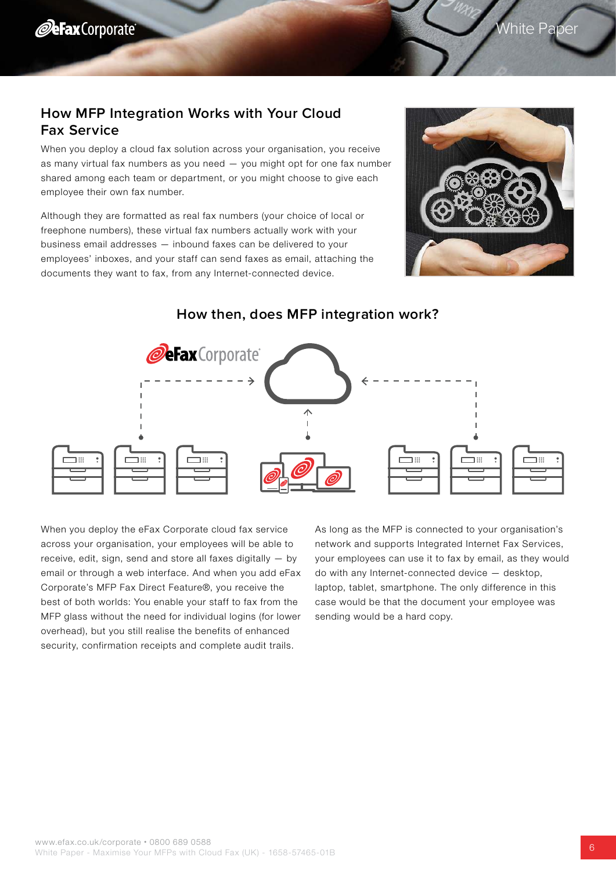White Paper

## <span id="page-5-0"></span>**How MFP Integration Works with Your Cloud Fax Service**

When you deploy a cloud fax solution across your organisation, you receive as many virtual fax numbers as you need — you might opt for one fax number shared among each team or department, or you might choose to give each employee their own fax number.

Although they are formatted as real fax numbers (your choice of local or freephone numbers), these virtual fax numbers actually work with your business email addresses — inbound faxes can be delivered to your employees' inboxes, and your staff can send faxes as email, attaching the documents they want to fax, from any Internet-connected device.





### **How then, does MFP integration work?**

When you deploy the eFax Corporate cloud fax service across your organisation, your employees will be able to receive, edit, sign, send and store all faxes digitally — by email or through a web interface. And when you add eFax Corporate's MFP Fax Direct Feature®, you receive the best of both worlds: You enable your staff to fax from the MFP glass without the need for individual logins (for lower overhead), but you still realise the benefits of enhanced security, confirmation receipts and complete audit trails.

As long as the MFP is connected to your organisation's network and supports Integrated Internet Fax Services, your employees can use it to fax by email, as they would do with any Internet-connected device — desktop, laptop, tablet, smartphone. The only difference in this case would be that the document your employee was sending would be a hard copy.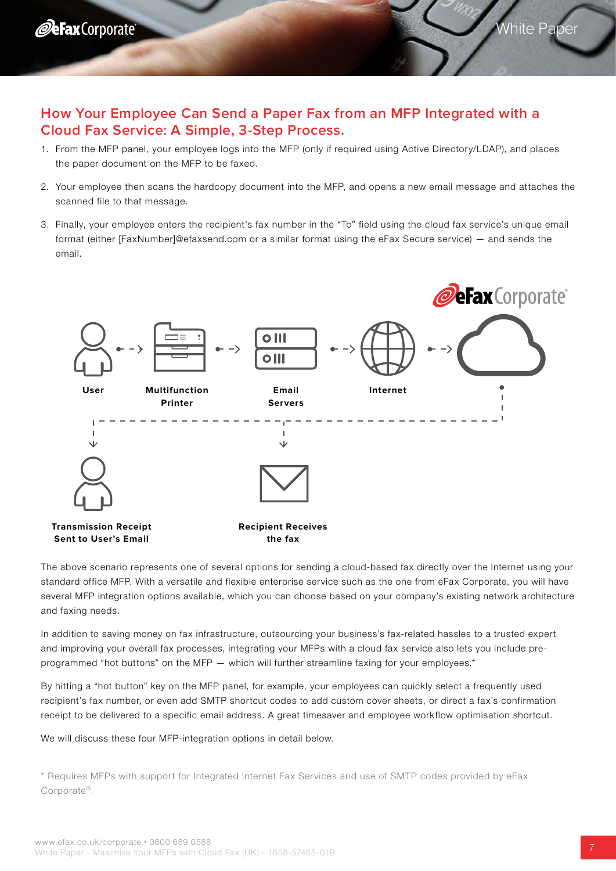

### **How Your Employee Can Send a Paper Fax from an MFP Integrated with a Cloud Fax Service: A Simple, 3-Step Process.**

- 1. From the MFP panel, your employee logs into the MFP (only if required using Active Directory/LDAP), and places the paper document on the MFP to be faxed.
- 2. Your employee then scans the hardcopy document into the MFP, and opens a new email message and attaches the scanned file to that message.
- 3. Finally, your employee enters the recipient's fax number in the "To" field using the cloud fax service's unique email format (either [FaxNumber]@efaxsend.com or a similar format using the eFax Secure service) — and sends the email.



The above scenario represents one of several options for sending a cloud-based fax directly over the Internet using your standard office MFP. With a versatile and flexible enterprise service such as the one from eFax Corporate, you will have several MFP integration options available, which you can choose based on your company's existing network architecture and faxing needs.

In addition to saving money on fax infrastructure, outsourcing your business's fax-related hassles to a trusted expert and improving your overall fax processes, integrating your MFPs with a cloud fax service also lets you include preprogrammed "hot buttons" on the MFP — which will further streamline faxing for your employees.\*

By hitting a "hot button" key on the MFP panel, for example, your employees can quickly select a frequently used recipient's fax number, or even add SMTP shortcut codes to add custom cover sheets, or direct a fax's confirmation receipt to be delivered to a specific email address. A great timesaver and employee workflow optimisation shortcut.

We will discuss these four MFP-integration options in detail below.

\* Requires MFPs with support for Integrated Internet Fax Services and use of SMTP codes provided by eFax Corporate®.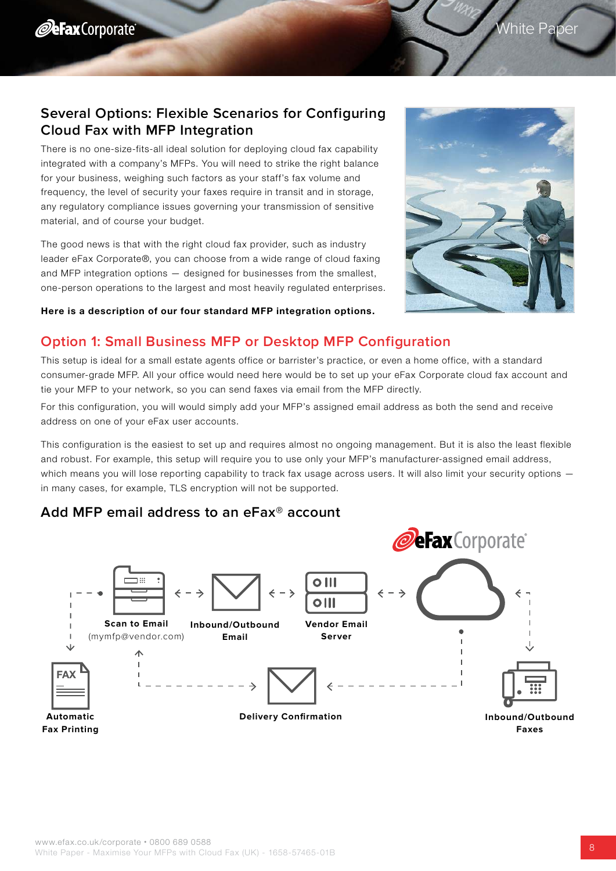# <span id="page-7-0"></span>**Several Options: Flexible Scenarios for Configuring Cloud Fax with MFP Integration**

There is no one-size-fits-all ideal solution for deploying cloud fax capability integrated with a company's MFPs. You will need to strike the right balance for your business, weighing such factors as your staff's fax volume and frequency, the level of security your faxes require in transit and in storage, any regulatory compliance issues governing your transmission of sensitive material, and of course your budget.

The good news is that with the right cloud fax provider, such as industry leader eFax Corporate®, you can choose from a wide range of cloud faxing and MFP integration options — designed for businesses from the smallest, one-person operations to the largest and most heavily regulated enterprises.



### Here is a description of our four standard MFP integration options.

### **Option 1: Small Business MFP or Desktop MFP Configuration**

This setup is ideal for a small estate agents office or barrister's practice, or even a home office, with a standard consumer-grade MFP. All your office would need here would be to set up your eFax Corporate cloud fax account and tie your MFP to your network, so you can send faxes via email from the MFP directly.

For this configuration, you will would simply add your MFP's assigned email address as both the send and receive address on one of your eFax user accounts.

This configuration is the easiest to set up and requires almost no ongoing management. But it is also the least flexible and robust. For example, this setup will require you to use only your MFP's manufacturer-assigned email address, which means you will lose reporting capability to track fax usage across users. It will also limit your security options in many cases, for example, TLS encryption will not be supported.

### **Add MFP email address to an eFax® account**

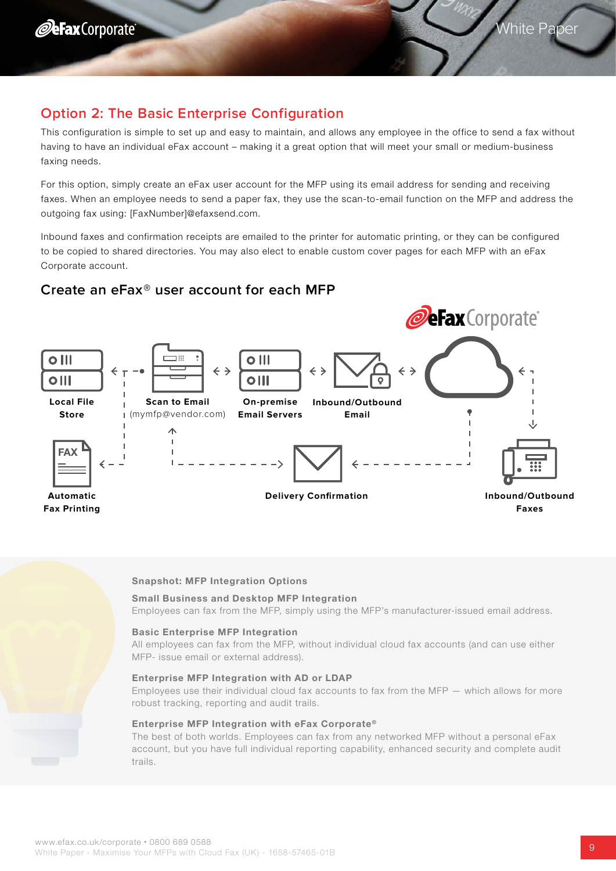# **Option 2: The Basic Enterprise Configuration**

This configuration is simple to set up and easy to maintain, and allows any employee in the office to send a fax without having to have an individual eFax account – making it a great option that will meet your small or medium-business faxing needs.

For this option, simply create an eFax user account for the MFP using its email address for sending and receiving faxes. When an employee needs to send a paper fax, they use the scan-to-email function on the MFP and address the outgoing fax using: [FaxNumber]@efaxsend.com.

Inbound faxes and confirmation receipts are emailed to the printer for automatic printing, or they can be configured to be copied to shared directories. You may also elect to enable custom cover pages for each MFP with an eFax Corporate account.

### **Create an eFax® user account for each MFP**



### Snapshot: MFP Integration Options

### Small Business and Desktop MFP Integration

Employees can fax from the MFP, simply using the MFP's manufacturer-issued email address.

#### Basic Enterprise MFP Integration

All employees can fax from the MFP, without individual cloud fax accounts (and can use either MFP- issue email or external address).

#### Enterprise MFP Integration with AD or LDAP

Employees use their individual cloud fax accounts to fax from the MFP — which allows for more robust tracking, reporting and audit trails.

#### Enterprise MFP Integration with eFax Corporate®

The best of both worlds. Employees can fax from any networked MFP without a personal eFax account, but you have full individual reporting capability, enhanced security and complete audit trails.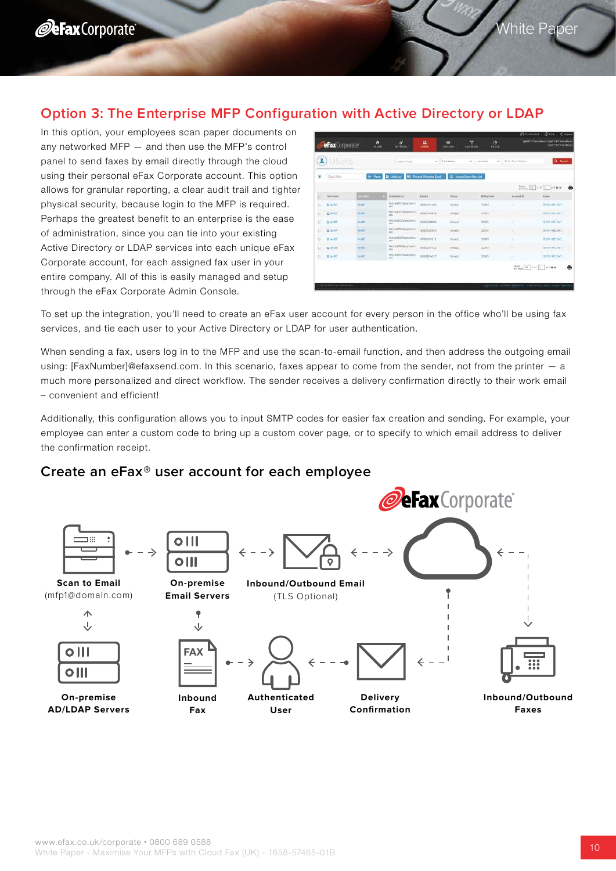# **Option 3: The Enterprise MFP Configuration with Active Directory or LDAP**

In this option, your employees scan paper documents on any networked MFP — and then use the MFP's control panel to send faxes by email directly through the cloud using their personal eFax Corporate account. This option allows for granular reporting, a clear audit trail and tighter physical security, because login to the MFP is required. Perhaps the greatest benefit to an enterprise is the ease of administration, since you can tie into your existing Active Directory or LDAP services into each unique eFax Corporate account, for each assigned fax user in your entire company. All of this is easily managed and setup through the eFax Corporate Admin Console.

| £.             | <b>USERS</b>      |                                     | Seiert Graus                                 |                                  | - Laul nieer                 | milain<br>÷         | · Issue South Value | Q. Seath                                                                    |
|----------------|-------------------|-------------------------------------|----------------------------------------------|----------------------------------|------------------------------|---------------------|---------------------|-----------------------------------------------------------------------------|
| Ħ              | Quick Kitler      | He Most                             | <b>Je Aurum</b><br>œ.                        | <b>Rosend Welcome: Email</b>     | IE Insert-Cape (Unit List    |                     |                     |                                                                             |
|                |                   |                                     |                                              |                                  |                              |                     |                     | $\frac{15855}{197 938^2}$ 55 $\left[100\right]$ $\left[1-\right]$ of 1 00 H |
| $\Box$         | <b>First Name</b> | <b>When:</b>                        | Email Address                                | <b>Number</b>                    | Grinde                       | <b>Billing Code</b> | Azzieri ID          | Users                                                                       |
| $\overline{u}$ | 111111            | <b>Assett</b>                       | First Jan 6001 (Pyrominal at<br>688<br>wee   | <b>ISBN/ITEZIAO</b>              | <b>Cleaning</b>              | 11545               |                     | WHO HICPAY                                                                  |
| LL             | 1 turniz          | 12.50<br><b>REMOVE</b>              | find in 8202 level mill at<br>cin.           | INNOCOSTAN                       | <b>CONTRACTOR</b><br>United. | sines               |                     | <b>ALCOHOL: AND PROPERTY</b><br><b>MAKE HOCKIVE</b>                         |
| a              | Listà             | <b>CONTRACTOR</b><br><b>Roughly</b> | femiant000@yopyaid.c.<br>date.               | <b>ERRITOIDOS</b>                | Gonact                       | 12545               | ٠.                  | CAN THE UPCA CIL<br><b>SOUS RECEIVE</b>                                     |
| 17             | A IMAN            | n m<br>BAILIN<br>ww                 | Weblast004@yopmatto<br>147                   | 1EEKVOSE2V6<br><b>AN ARCHITE</b> | Group's                      | 12345<br>us         | n.                  | inistrovi<br><b>HINGY RECEIVE</b><br>e samo p                               |
| U.             | <b>1 Imp23</b>    | first(C)<br>n ma                    | hrstias@dbillyggesal.c<br><b>LES</b>         | LEEEGO/ASS1<br>32 S.W            | Ground<br><b>CYST</b>        | 12345               | ٠                   | <b>MMD MICENT</b><br>rooma                                                  |
| ū              | L tietos          | <b>Bratilda</b>                     | fice institute yourself as<br>ces.           | 1002077723                       | Groupit                      | 12345               | ۰                   | MAD MATHE                                                                   |
| o              | $1\text{ln}107$   | Erultz                              | Federal Street - 18882104617<br>BELL-PARTIES |                                  | Sout!                        | 32545               | ٠                   | SEND RECENT                                                                 |

To set up the integration, you'll need to create an eFax user account for every person in the office who'll be using fax services, and tie each user to your Active Directory or LDAP for user authentication.

When sending a fax, users log in to the MFP and use the scan-to-email function, and then address the outgoing email using: [FaxNumber]@efaxsend.com. In this scenario, faxes appear to come from the sender, not from the printer - a much more personalized and direct workflow. The sender receives a delivery confirmation directly to their work email – convenient and efficient!

Additionally, this configuration allows you to input SMTP codes for easier fax creation and sending. For example, your employee can enter a custom code to bring up a custom cover page, or to specify to which email address to deliver the confirmation receipt.

### **Create an eFax® user account for each employee**

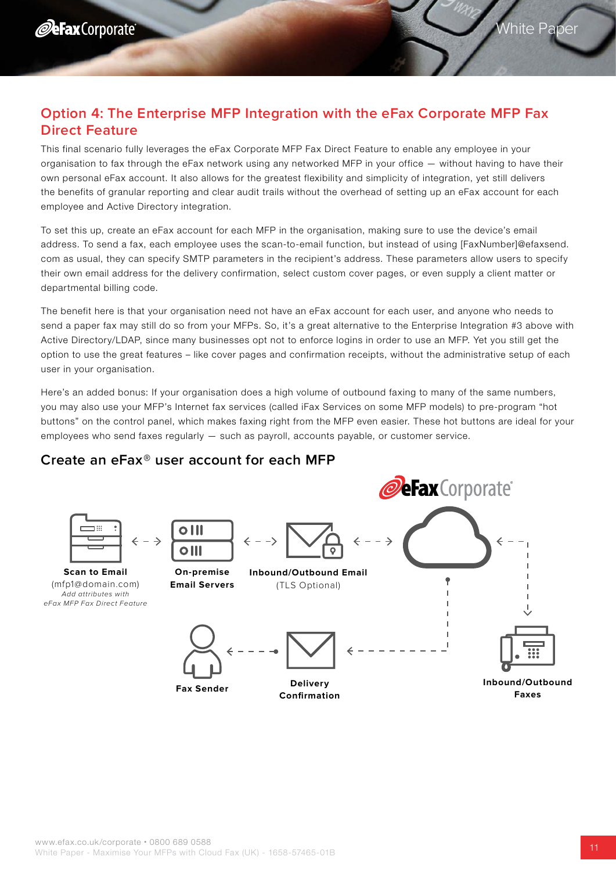# **Option 4: The Enterprise MFP Integration with the eFax Corporate MFP Fax Direct Feature**

This final scenario fully leverages the eFax Corporate MFP Fax Direct Feature to enable any employee in your organisation to fax through the eFax network using any networked MFP in your office — without having to have their own personal eFax account. It also allows for the greatest flexibility and simplicity of integration, yet still delivers the benefits of granular reporting and clear audit trails without the overhead of setting up an eFax account for each employee and Active Directory integration.

To set this up, create an eFax account for each MFP in the organisation, making sure to use the device's email address. To send a fax, each employee uses the scan-to-email function, but instead of using [FaxNumber]@efaxsend. com as usual, they can specify SMTP parameters in the recipient's address. These parameters allow users to specify their own email address for the delivery confirmation, select custom cover pages, or even supply a client matter or departmental billing code.

The benefit here is that your organisation need not have an eFax account for each user, and anyone who needs to send a paper fax may still do so from your MFPs. So, it's a great alternative to the Enterprise Integration #3 above with Active Directory/LDAP, since many businesses opt not to enforce logins in order to use an MFP. Yet you still get the option to use the great features – like cover pages and confirmation receipts, without the administrative setup of each user in your organisation.

Here's an added bonus: If your organisation does a high volume of outbound faxing to many of the same numbers, you may also use your MFP's Internet fax services (called iFax Services on some MFP models) to pre-program "hot buttons" on the control panel, which makes faxing right from the MFP even easier. These hot buttons are ideal for your employees who send faxes regularly — such as payroll, accounts payable, or customer service.



### **Create an eFax® user account for each MFP**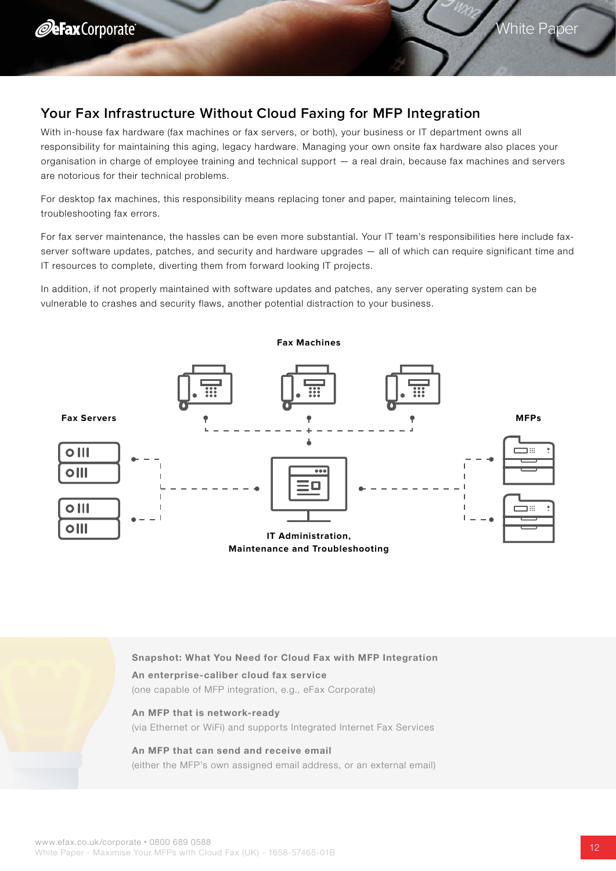# <span id="page-11-0"></span>**Your Fax Infrastructure Without Cloud Faxing for MFP Integration**

With in-house fax hardware (fax machines or fax servers, or both), your business or IT department owns all responsibility for maintaining this aging, legacy hardware. Managing your own onsite fax hardware also places your organisation in charge of employee training and technical support — a real drain, because fax machines and servers are notorious for their technical problems.

For desktop fax machines, this responsibility means replacing toner and paper, maintaining telecom lines, troubleshooting fax errors.

For fax server maintenance, the hassles can be even more substantial. Your IT team's responsibilities here include faxserver software updates, patches, and security and hardware upgrades – all of which can require significant time and IT resources to complete, diverting them from forward looking IT projects.

In addition, if not properly maintained with software updates and patches, any server operating system can be vulnerable to crashes and security flaws, another potential distraction to your business.



Snapshot: What You Need for Cloud Fax with MFP Integration

#### An enterprise-caliber cloud fax service

(one capable of MFP integration, e.g., eFax Corporate)

#### An MFP that is network-ready

(via Ethernet or WiFi) and supports Integrated Internet Fax Services

#### An MFP that can send and receive email

(either the MFP's own assigned email address, or an external email)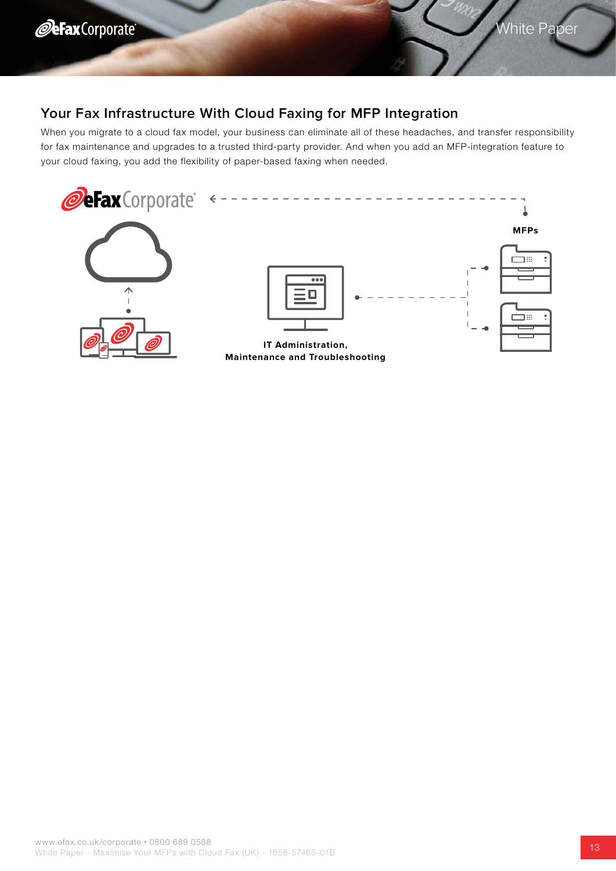# <span id="page-12-0"></span>**Your Fax Infrastructure With Cloud Faxing for MFP Integration**

When you migrate to a cloud fax model, your business can eliminate all of these headaches, and transfer responsibility for fax maintenance and upgrades to a trusted third-party provider. And when you add an MFP-integration feature to your cloud faxing, you add the flexibility of paper-based faxing when needed.

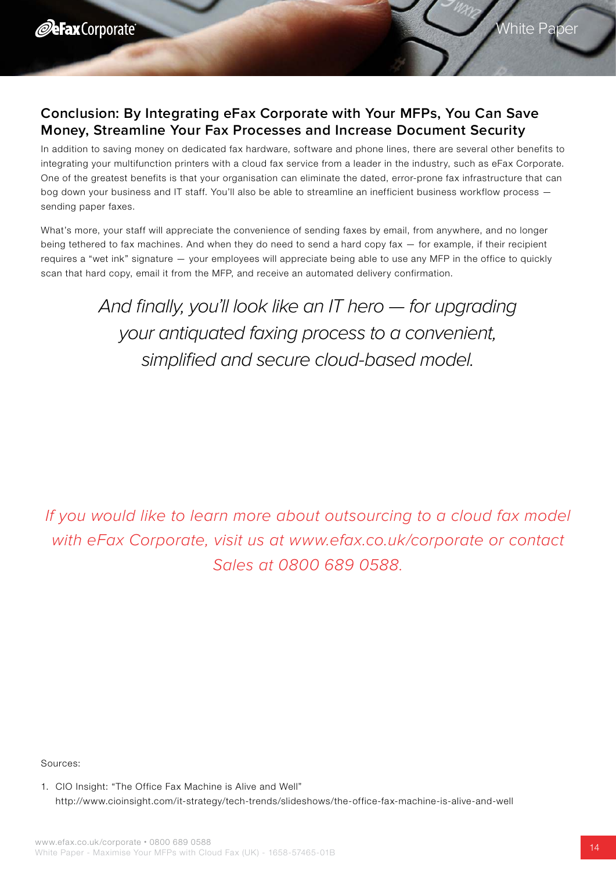# <span id="page-13-0"></span>**Conclusion: By Integrating eFax Corporate with Your MFPs, You Can Save Money, Streamline Your Fax Processes and Increase Document Security**

In addition to saving money on dedicated fax hardware, software and phone lines, there are several other benefits to integrating your multifunction printers with a cloud fax service from a leader in the industry, such as eFax Corporate. One of the greatest benefits is that your organisation can eliminate the dated, error-prone fax infrastructure that can bog down your business and IT staff. You'll also be able to streamline an inefficient business workflow process sending paper faxes.

What's more, your staff will appreciate the convenience of sending faxes by email, from anywhere, and no longer being tethered to fax machines. And when they do need to send a hard copy fax — for example, if their recipient requires a "wet ink" signature — your employees will appreciate being able to use any MFP in the office to quickly scan that hard copy, email it from the MFP, and receive an automated delivery confirmation.

> And finally, you'll look like an IT hero — for upgrading your antiquated faxing process to a convenient, simplified and secure cloud-based model.

If you would like to learn more about outsourcing to a cloud fax model with eFax Corporate, visit us at www.efax.co.uk/corporate or contact Sales at 0800 689 0588.

Sources:

1. CIO Insight: "The Office Fax Machine is Alive and Well" http://www.cioinsight.com/it-strategy/tech-trends/slideshows/the-office-fax-machine-is-alive-and-well